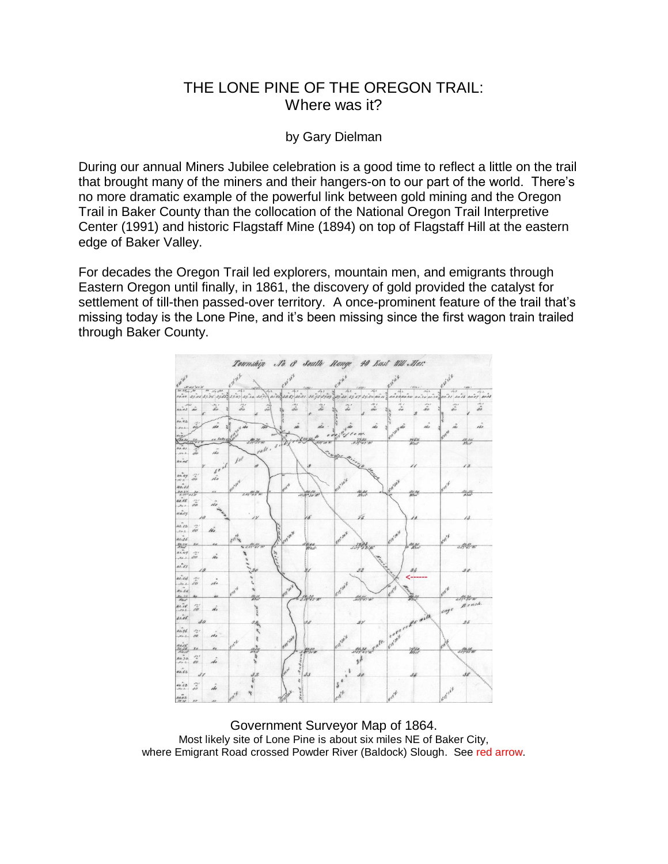## THE LONE PINE OF THE OREGON TRAIL: Where was it?

## by Gary Dielman

During our annual Miners Jubilee celebration is a good time to reflect a little on the trail that brought many of the miners and their hangers-on to our part of the world. There's no more dramatic example of the powerful link between gold mining and the Oregon Trail in Baker County than the collocation of the National Oregon Trail Interpretive Center (1991) and historic Flagstaff Mine (1894) on top of Flagstaff Hill at the eastern edge of Baker Valley.

For decades the Oregon Trail led explorers, mountain men, and emigrants through Eastern Oregon until finally, in 1861, the discovery of gold provided the catalyst for settlement of till-then passed-over territory. A once-prominent feature of the trail that's missing today is the Lone Pine, and it's been missing since the first wagon train trailed through Baker County.



Government Surveyor Map of 1864. Most likely site of Lone Pine is about six miles NE of Baker City, where Emigrant Road crossed Powder River (Baldock) Slough. See red arrow.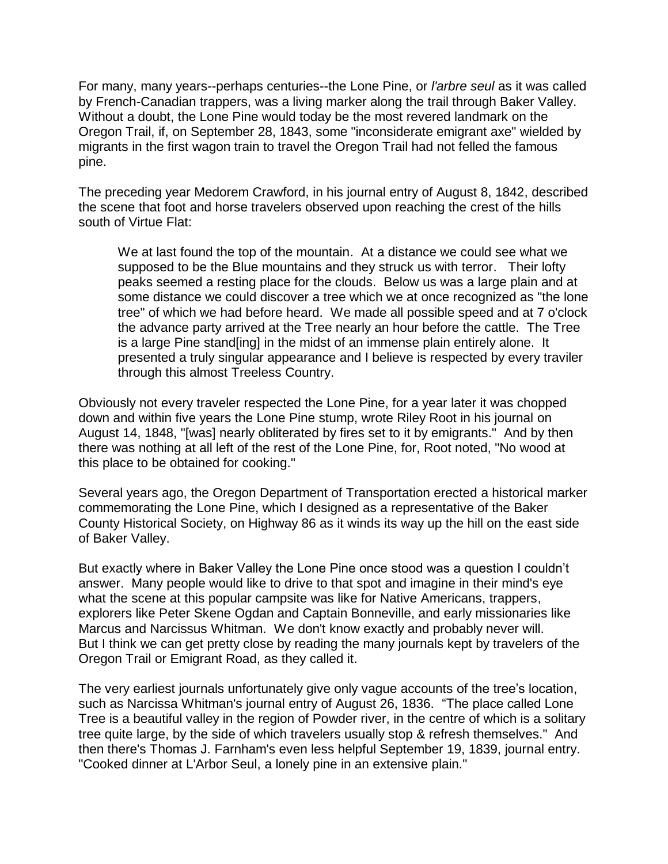For many, many years--perhaps centuries--the Lone Pine, or *l'arbre seul* as it was called by French-Canadian trappers, was a living marker along the trail through Baker Valley. Without a doubt, the Lone Pine would today be the most revered landmark on the Oregon Trail, if, on September 28, 1843, some "inconsiderate emigrant axe" wielded by migrants in the first wagon train to travel the Oregon Trail had not felled the famous pine.

The preceding year Medorem Crawford, in his journal entry of August 8, 1842, described the scene that foot and horse travelers observed upon reaching the crest of the hills south of Virtue Flat:

We at last found the top of the mountain. At a distance we could see what we supposed to be the Blue mountains and they struck us with terror. Their lofty peaks seemed a resting place for the clouds. Below us was a large plain and at some distance we could discover a tree which we at once recognized as "the lone tree" of which we had before heard. We made all possible speed and at 7 o'clock the advance party arrived at the Tree nearly an hour before the cattle. The Tree is a large Pine stand[ing] in the midst of an immense plain entirely alone. It presented a truly singular appearance and I believe is respected by every traviler through this almost Treeless Country.

Obviously not every traveler respected the Lone Pine, for a year later it was chopped down and within five years the Lone Pine stump, wrote Riley Root in his journal on August 14, 1848, "[was] nearly obliterated by fires set to it by emigrants." And by then there was nothing at all left of the rest of the Lone Pine, for, Root noted, "No wood at this place to be obtained for cooking."

Several years ago, the Oregon Department of Transportation erected a historical marker commemorating the Lone Pine, which I designed as a representative of the Baker County Historical Society, on Highway 86 as it winds its way up the hill on the east side of Baker Valley.

But exactly where in Baker Valley the Lone Pine once stood was a question I couldn't answer. Many people would like to drive to that spot and imagine in their mind's eye what the scene at this popular campsite was like for Native Americans, trappers, explorers like Peter Skene Ogdan and Captain Bonneville, and early missionaries like Marcus and Narcissus Whitman. We don't know exactly and probably never will. But I think we can get pretty close by reading the many journals kept by travelers of the Oregon Trail or Emigrant Road, as they called it.

The very earliest journals unfortunately give only vague accounts of the tree's location, such as Narcissa Whitman's journal entry of August 26, 1836. "The place called Lone Tree is a beautiful valley in the region of Powder river, in the centre of which is a solitary tree quite large, by the side of which travelers usually stop & refresh themselves." And then there's Thomas J. Farnham's even less helpful September 19, 1839, journal entry. "Cooked dinner at L'Arbor Seul, a lonely pine in an extensive plain."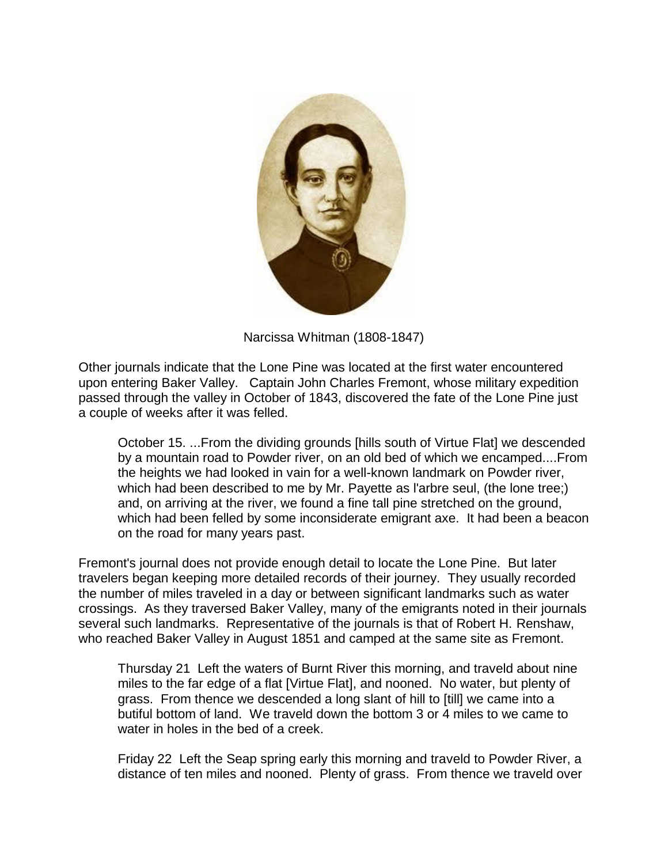

Narcissa Whitman (1808-1847)

Other journals indicate that the Lone Pine was located at the first water encountered upon entering Baker Valley. Captain John Charles Fremont, whose military expedition passed through the valley in October of 1843, discovered the fate of the Lone Pine just a couple of weeks after it was felled.

October 15. ...From the dividing grounds [hills south of Virtue Flat] we descended by a mountain road to Powder river, on an old bed of which we encamped....From the heights we had looked in vain for a well-known landmark on Powder river, which had been described to me by Mr. Payette as l'arbre seul, (the lone tree;) and, on arriving at the river, we found a fine tall pine stretched on the ground, which had been felled by some inconsiderate emigrant axe. It had been a beacon on the road for many years past.

Fremont's journal does not provide enough detail to locate the Lone Pine. But later travelers began keeping more detailed records of their journey. They usually recorded the number of miles traveled in a day or between significant landmarks such as water crossings. As they traversed Baker Valley, many of the emigrants noted in their journals several such landmarks. Representative of the journals is that of Robert H. Renshaw, who reached Baker Valley in August 1851 and camped at the same site as Fremont.

Thursday 21 Left the waters of Burnt River this morning, and traveld about nine miles to the far edge of a flat [Virtue Flat], and nooned. No water, but plenty of grass. From thence we descended a long slant of hill to [till] we came into a butiful bottom of land. We traveld down the bottom 3 or 4 miles to we came to water in holes in the bed of a creek.

Friday 22 Left the Seap spring early this morning and traveld to Powder River, a distance of ten miles and nooned. Plenty of grass. From thence we traveld over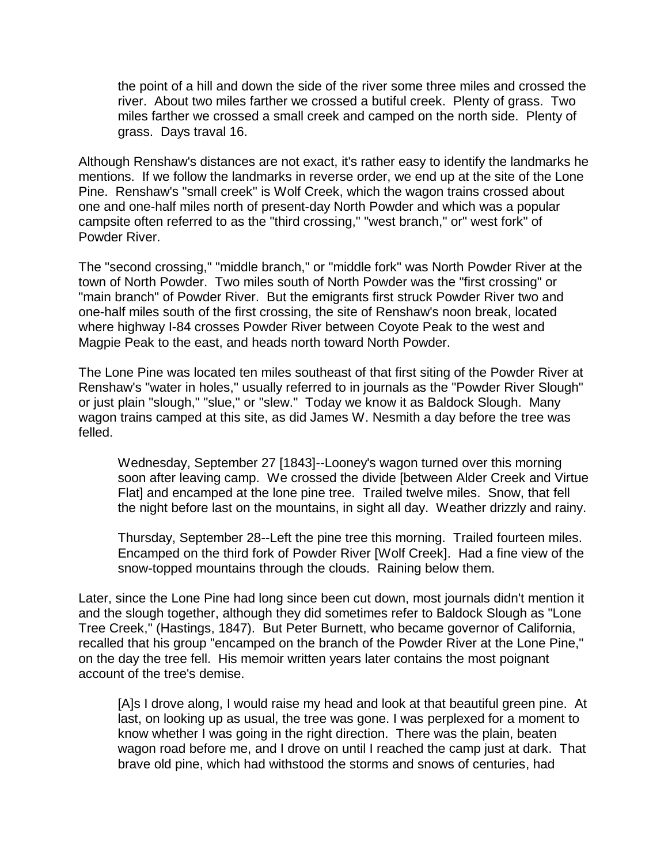the point of a hill and down the side of the river some three miles and crossed the river. About two miles farther we crossed a butiful creek. Plenty of grass. Two miles farther we crossed a small creek and camped on the north side. Plenty of grass. Days traval 16.

Although Renshaw's distances are not exact, it's rather easy to identify the landmarks he mentions. If we follow the landmarks in reverse order, we end up at the site of the Lone Pine. Renshaw's "small creek" is Wolf Creek, which the wagon trains crossed about one and one-half miles north of present-day North Powder and which was a popular campsite often referred to as the "third crossing," "west branch," or" west fork" of Powder River.

The "second crossing," "middle branch," or "middle fork" was North Powder River at the town of North Powder. Two miles south of North Powder was the "first crossing" or "main branch" of Powder River. But the emigrants first struck Powder River two and one-half miles south of the first crossing, the site of Renshaw's noon break, located where highway I-84 crosses Powder River between Coyote Peak to the west and Magpie Peak to the east, and heads north toward North Powder.

The Lone Pine was located ten miles southeast of that first siting of the Powder River at Renshaw's "water in holes," usually referred to in journals as the "Powder River Slough" or just plain "slough," "slue," or "slew." Today we know it as Baldock Slough. Many wagon trains camped at this site, as did James W. Nesmith a day before the tree was felled.

Wednesday, September 27 [1843]--Looney's wagon turned over this morning soon after leaving camp. We crossed the divide [between Alder Creek and Virtue Flat] and encamped at the lone pine tree. Trailed twelve miles. Snow, that fell the night before last on the mountains, in sight all day. Weather drizzly and rainy.

Thursday, September 28--Left the pine tree this morning. Trailed fourteen miles. Encamped on the third fork of Powder River [Wolf Creek]. Had a fine view of the snow-topped mountains through the clouds. Raining below them.

Later, since the Lone Pine had long since been cut down, most journals didn't mention it and the slough together, although they did sometimes refer to Baldock Slough as "Lone Tree Creek," (Hastings, 1847). But Peter Burnett, who became governor of California, recalled that his group "encamped on the branch of the Powder River at the Lone Pine," on the day the tree fell. His memoir written years later contains the most poignant account of the tree's demise.

[A]s I drove along, I would raise my head and look at that beautiful green pine. At last, on looking up as usual, the tree was gone. I was perplexed for a moment to know whether I was going in the right direction. There was the plain, beaten wagon road before me, and I drove on until I reached the camp just at dark. That brave old pine, which had withstood the storms and snows of centuries, had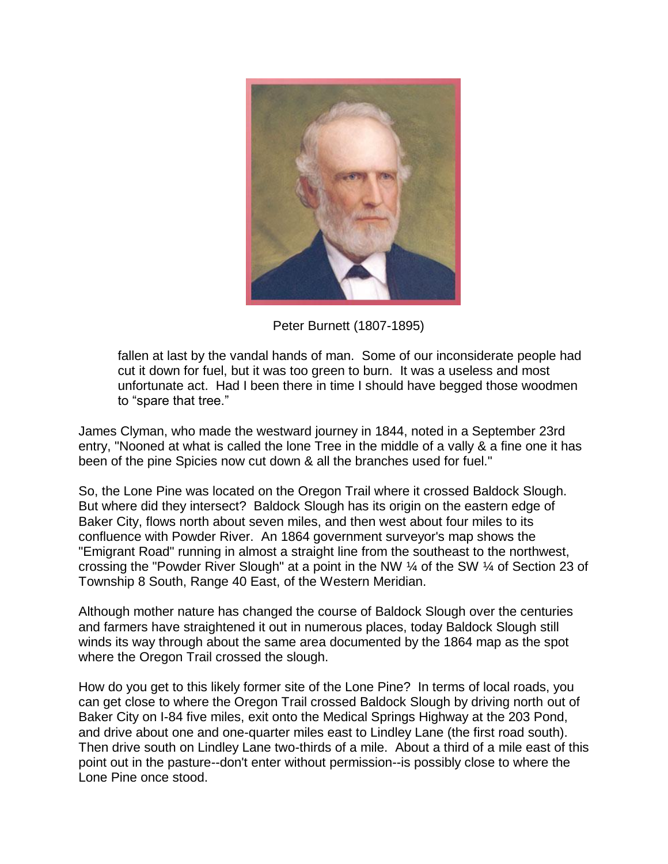

Peter Burnett (1807-1895)

fallen at last by the vandal hands of man. Some of our inconsiderate people had cut it down for fuel, but it was too green to burn. It was a useless and most unfortunate act. Had I been there in time I should have begged those woodmen to "spare that tree."

James Clyman, who made the westward journey in 1844, noted in a September 23rd entry, "Nooned at what is called the lone Tree in the middle of a vally & a fine one it has been of the pine Spicies now cut down & all the branches used for fuel."

So, the Lone Pine was located on the Oregon Trail where it crossed Baldock Slough. But where did they intersect? Baldock Slough has its origin on the eastern edge of Baker City, flows north about seven miles, and then west about four miles to its confluence with Powder River. An 1864 government surveyor's map shows the "Emigrant Road" running in almost a straight line from the southeast to the northwest, crossing the "Powder River Slough" at a point in the NW ¼ of the SW ¼ of Section 23 of Township 8 South, Range 40 East, of the Western Meridian.

Although mother nature has changed the course of Baldock Slough over the centuries and farmers have straightened it out in numerous places, today Baldock Slough still winds its way through about the same area documented by the 1864 map as the spot where the Oregon Trail crossed the slough.

How do you get to this likely former site of the Lone Pine? In terms of local roads, you can get close to where the Oregon Trail crossed Baldock Slough by driving north out of Baker City on I-84 five miles, exit onto the Medical Springs Highway at the 203 Pond, and drive about one and one-quarter miles east to Lindley Lane (the first road south). Then drive south on Lindley Lane two-thirds of a mile. About a third of a mile east of this point out in the pasture--don't enter without permission--is possibly close to where the Lone Pine once stood.